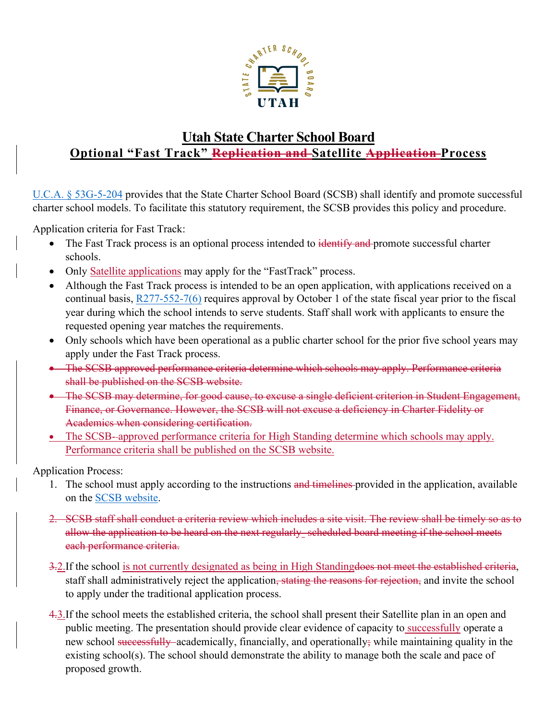

## **Utah State Charter School Board Optional "Fast Track" Replication and Satellite Application Process**

[U.C.A. § 53G-5-204](https://le.utah.gov/xcode/Title53G/Chapter5/53G-5-S204.html) provides that the State Charter School Board (SCSB) shall identify and promote successful charter school models. To facilitate this statutory requirement, the SCSB provides this policy and procedure.

Application criteria for Fast Track:

- The Fast Track process is an optional process intended to identify and promote successful charter schools.
- Only [Satellite applications](https://www.utahscsb.org/applications) may apply for the "FastTrack" process.
- Although the Fast Track process is intended to be an open application, with applications received on a continual basis,  $\frac{R277-552-7(6)}{2}$  requires approval by October 1 of the state fiscal year prior to the fiscal year during which the school intends to serve students. Staff shall work with applicants to ensure the requested opening year matches the requirements.
- Only schools which have been operational as a public charter school for the prior five school years may apply under the Fast Track process.
- The SCSB approved performance criteria determine which schools may apply. Performance criteria shall be published on the SCSB website.
- The SCSB may determine, for good cause, to excuse a single deficient criterion in Student Engagement, Finance, or Governance. However, the SCSB will not excuse a deficiency in Charter Fidelity or Academics when considering certification.
- The SCSB--approved performance criteria for High Standing determine which schools may apply. Performance criteria shall be published on the [SCSB website.](https://9303a856-c942-4da0-b03f-64d15183abe2.filesusr.com/ugd/372854_6b6f5f953b90474d88482227350f770f.pdf)

Application Process:

- 1. The school must apply according to the instructions and timelines-provided in the application, available on the [SCSB website.](https://www.utahscsb.org/applications)
- 2. SCSB staff shall conduct a criteria review which includes a site visit. The review shall be timely so as to allow the application to be heard on the next regularly-scheduled board meeting if the school meets each performance criteria.
- 3.2.If the school is not currently designated as being in High Standingdoes not meet the established criteria, staff shall administratively reject the application, stating the reasons for rejection, and invite the school to apply under the traditional application process.
- 4.3.If the school meets the established criteria, the school shall present their Satellite plan in an open and public meeting. The presentation should provide clear evidence of capacity to successfully operate a new school successfully–academically, financially, and operationally; while maintaining quality in the existing school(s). The school should demonstrate the ability to manage both the scale and pace of proposed growth.